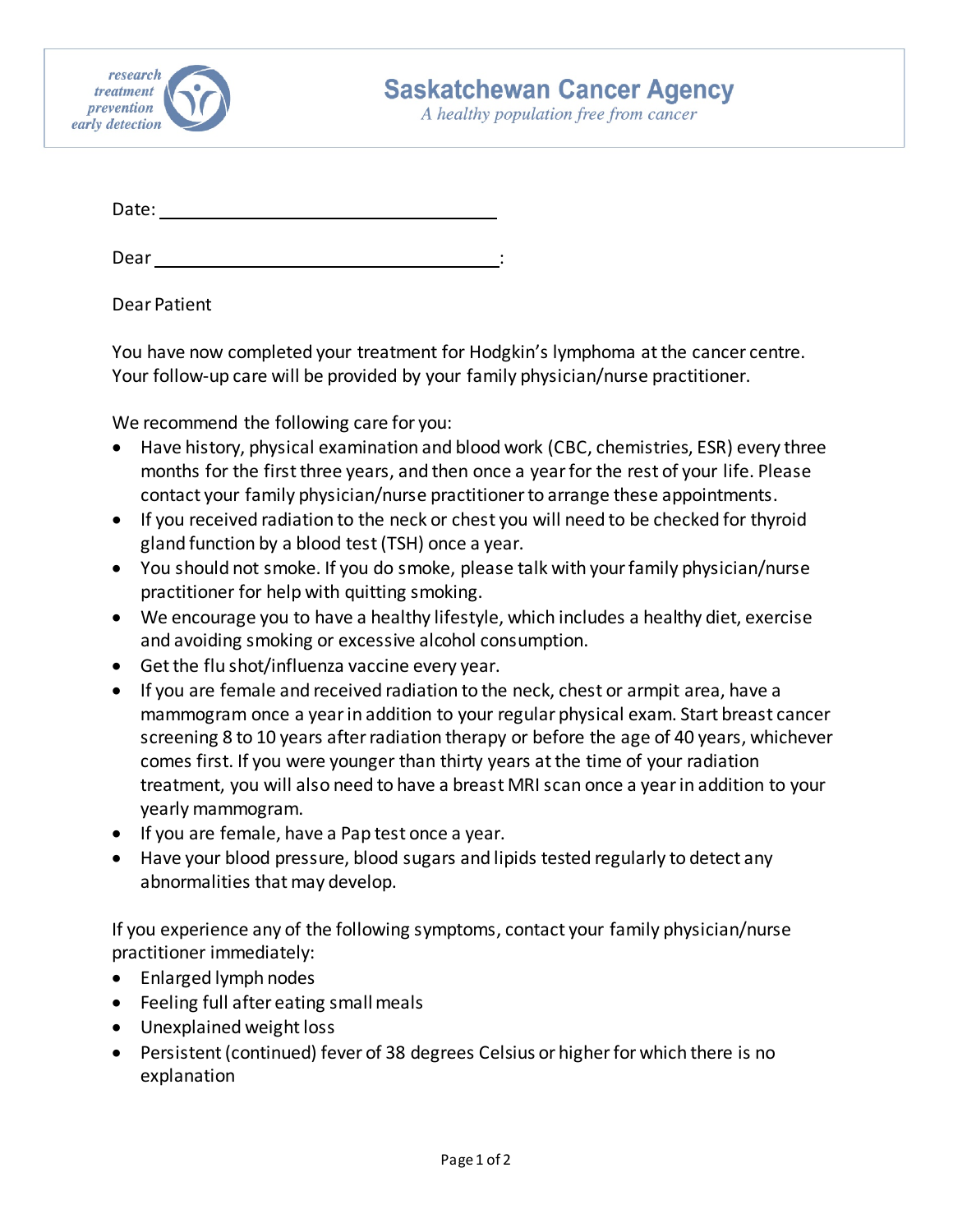

A healthy population free from cancer

Date:

Dear : and the contract of the contract of the contract of the contract of the contract of the contract of the

Dear Patient

You have now completed your treatment for Hodgkin's lymphoma at the cancer centre. Your follow-up care will be provided by your family physician/nurse practitioner.

We recommend the following care for you:

- Have history, physical examination and blood work (CBC, chemistries, ESR) every three months for the first three years, and then once a year for the rest of your life. Please contact your family physician/nurse practitioner to arrange these appointments.
- If you received radiation to the neck or chest you will need to be checked for thyroid gland function by a blood test (TSH) once a year.
- You should not smoke. If you do smoke, please talk with your family physician/nurse practitioner for help with quitting smoking.
- We encourage you to have a healthy lifestyle, which includes a healthy diet, exercise and avoiding smoking or excessive alcohol consumption.
- Get the flu shot/influenza vaccine every year.
- If you are female and received radiation to the neck, chest or armpit area, have a mammogram once a year in addition to your regular physical exam. Start breast cancer screening 8 to 10 years after radiation therapy or before the age of 40 years, whichever comes first. If you were younger than thirty years at the time of your radiation treatment, you will also need to have a breast MRI scan once a year in addition to your yearly mammogram.
- If you are female, have a Pap test once a year.
- Have your blood pressure, blood sugars and lipids tested regularly to detect any abnormalities that may develop.

If you experience any of the following symptoms, contact your family physician/nurse practitioner immediately:

- Enlarged lymph nodes
- Feeling full after eating small meals
- Unexplained weight loss
- Persistent (continued) fever of 38 degrees Celsius or higher for which there is no explanation